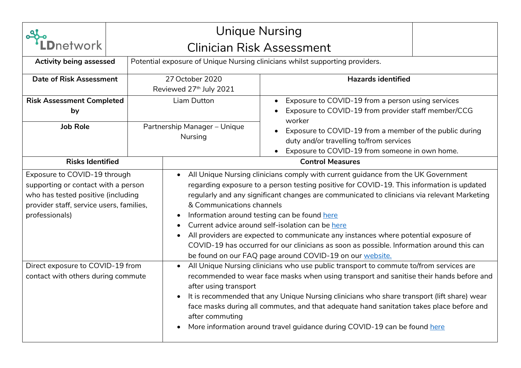|                                                                                                                                                                         |  |                                            | <b>Unique Nursing</b>                                                                                                                                                                                                                                                                                                                                                                                                                                                                                                                                                                                                                                                                    |                                                                                                                                                                |  |  |  |
|-------------------------------------------------------------------------------------------------------------------------------------------------------------------------|--|--------------------------------------------|------------------------------------------------------------------------------------------------------------------------------------------------------------------------------------------------------------------------------------------------------------------------------------------------------------------------------------------------------------------------------------------------------------------------------------------------------------------------------------------------------------------------------------------------------------------------------------------------------------------------------------------------------------------------------------------|----------------------------------------------------------------------------------------------------------------------------------------------------------------|--|--|--|
| network                                                                                                                                                                 |  | <b>Clinician Risk Assessment</b>           |                                                                                                                                                                                                                                                                                                                                                                                                                                                                                                                                                                                                                                                                                          |                                                                                                                                                                |  |  |  |
| <b>Activity being assessed</b>                                                                                                                                          |  |                                            | Potential exposure of Unique Nursing clinicians whilst supporting providers.                                                                                                                                                                                                                                                                                                                                                                                                                                                                                                                                                                                                             |                                                                                                                                                                |  |  |  |
| <b>Date of Risk Assessment</b>                                                                                                                                          |  | 27 October 2020<br>Reviewed 27th July 2021 |                                                                                                                                                                                                                                                                                                                                                                                                                                                                                                                                                                                                                                                                                          | <b>Hazards identified</b>                                                                                                                                      |  |  |  |
| <b>Risk Assessment Completed</b><br>by                                                                                                                                  |  | <b>Liam Dutton</b>                         |                                                                                                                                                                                                                                                                                                                                                                                                                                                                                                                                                                                                                                                                                          | Exposure to COVID-19 from a person using services<br>Exposure to COVID-19 from provider staff member/CCG                                                       |  |  |  |
| <b>Job Role</b>                                                                                                                                                         |  |                                            | Partnership Manager - Unique<br><b>Nursing</b>                                                                                                                                                                                                                                                                                                                                                                                                                                                                                                                                                                                                                                           | worker<br>Exposure to COVID-19 from a member of the public during<br>duty and/or travelling to/from services<br>Exposure to COVID-19 from someone in own home. |  |  |  |
| <b>Risks Identified</b>                                                                                                                                                 |  |                                            | <b>Control Measures</b>                                                                                                                                                                                                                                                                                                                                                                                                                                                                                                                                                                                                                                                                  |                                                                                                                                                                |  |  |  |
| Exposure to COVID-19 through<br>supporting or contact with a person<br>who has tested positive (including<br>provider staff, service users, families,<br>professionals) |  |                                            | All Unique Nursing clinicians comply with current guidance from the UK Government<br>$\bullet$<br>regarding exposure to a person testing positive for COVID-19. This information is updated<br>regularly and any significant changes are communicated to clinicians via relevant Marketing<br>& Communications channels<br>Information around testing can be found here<br>$\bullet$<br>Current advice around self-isolation can be here<br>All providers are expected to communicate any instances where potential exposure of<br>COVID-19 has occurred for our clinicians as soon as possible. Information around this can<br>be found on our FAQ page around COVID-19 on our website. |                                                                                                                                                                |  |  |  |
| Direct exposure to COVID-19 from<br>contact with others during commute                                                                                                  |  |                                            | All Unique Nursing clinicians who use public transport to commute to/from services are<br>$\bullet$<br>recommended to wear face masks when using transport and sanitise their hands before and<br>after using transport<br>It is recommended that any Unique Nursing clinicians who share transport (lift share) wear<br>$\bullet$<br>face masks during all commutes, and that adequate hand sanitation takes place before and<br>after commuting<br>More information around travel guidance during COVID-19 can be found here                                                                                                                                                           |                                                                                                                                                                |  |  |  |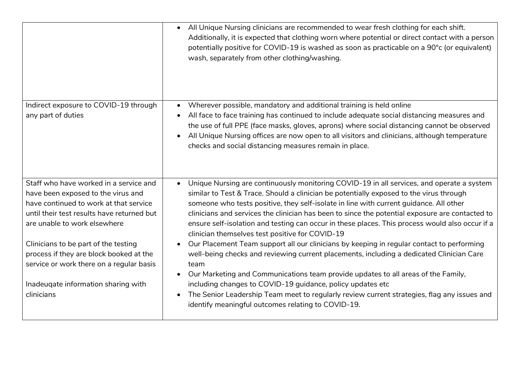|                                                                                                                                                                                                      | All Unique Nursing clinicians are recommended to wear fresh clothing for each shift.<br>$\bullet$<br>Additionally, it is expected that clothing worn where potential or direct contact with a person<br>potentially positive for COVID-19 is washed as soon as practicable on a 90°c (or equivalent)<br>wash, separately from other clothing/washing.                                                                                                                                                                                   |
|------------------------------------------------------------------------------------------------------------------------------------------------------------------------------------------------------|-----------------------------------------------------------------------------------------------------------------------------------------------------------------------------------------------------------------------------------------------------------------------------------------------------------------------------------------------------------------------------------------------------------------------------------------------------------------------------------------------------------------------------------------|
| Indirect exposure to COVID-19 through<br>any part of duties                                                                                                                                          | Wherever possible, mandatory and additional training is held online<br>$\bullet$<br>All face to face training has continued to include adequate social distancing measures and<br>the use of full PPE (face masks, gloves, aprons) where social distancing cannot be observed<br>All Unique Nursing offices are now open to all visitors and clinicians, although temperature<br>checks and social distancing measures remain in place.                                                                                                 |
| Staff who have worked in a service and<br>have been exposed to the virus and<br>have continued to work at that service<br>until their test results have returned but<br>are unable to work elsewhere | Unique Nursing are continuously monitoring COVID-19 in all services, and operate a system<br>similar to Test & Trace. Should a clinician be potentially exposed to the virus through<br>someone who tests positive, they self-isolate in line with current guidance. All other<br>clinicians and services the clinician has been to since the potential exposure are contacted to<br>ensure self-isolation and testing can occur in these places. This process would also occur if a<br>clinician themselves test positive for COVID-19 |
| Clinicians to be part of the testing<br>process if they are block booked at the<br>service or work there on a regular basis<br>Inadeuqate information sharing with<br>clinicians                     | Our Placement Team support all our clinicians by keeping in regular contact to performing<br>well-being checks and reviewing current placements, including a dedicated Clinician Care<br>team<br>Our Marketing and Communications team provide updates to all areas of the Family,<br>$\bullet$<br>including changes to COVID-19 guidance, policy updates etc<br>The Senior Leadership Team meet to regularly review current strategies, flag any issues and<br>$\bullet$<br>identify meaningful outcomes relating to COVID-19.         |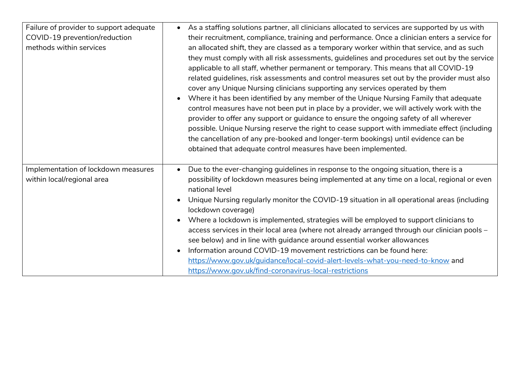| Failure of provider to support adequate<br>COVID-19 prevention/reduction<br>methods within services | As a staffing solutions partner, all clinicians allocated to services are supported by us with<br>$\bullet$<br>their recruitment, compliance, training and performance. Once a clinician enters a service for<br>an allocated shift, they are classed as a temporary worker within that service, and as such<br>they must comply with all risk assessments, guidelines and procedures set out by the service<br>applicable to all staff, whether permanent or temporary. This means that all COVID-19<br>related guidelines, risk assessments and control measures set out by the provider must also<br>cover any Unique Nursing clinicians supporting any services operated by them<br>Where it has been identified by any member of the Unique Nursing Family that adequate<br>$\bullet$<br>control measures have not been put in place by a provider, we will actively work with the<br>provider to offer any support or guidance to ensure the ongoing safety of all wherever |
|-----------------------------------------------------------------------------------------------------|-----------------------------------------------------------------------------------------------------------------------------------------------------------------------------------------------------------------------------------------------------------------------------------------------------------------------------------------------------------------------------------------------------------------------------------------------------------------------------------------------------------------------------------------------------------------------------------------------------------------------------------------------------------------------------------------------------------------------------------------------------------------------------------------------------------------------------------------------------------------------------------------------------------------------------------------------------------------------------------|
|                                                                                                     | possible. Unique Nursing reserve the right to cease support with immediate effect (including<br>the cancellation of any pre-booked and longer-term bookings) until evidence can be<br>obtained that adequate control measures have been implemented.                                                                                                                                                                                                                                                                                                                                                                                                                                                                                                                                                                                                                                                                                                                              |
| Implementation of lockdown measures<br>within local/regional area                                   | Due to the ever-changing guidelines in response to the ongoing situation, there is a<br>$\bullet$<br>possibility of lockdown measures being implemented at any time on a local, regional or even<br>national level<br>Unique Nursing regularly monitor the COVID-19 situation in all operational areas (including<br>$\bullet$<br>lockdown coverage)<br>Where a lockdown is implemented, strategies will be employed to support clinicians to<br>$\bullet$<br>access services in their local area (where not already arranged through our clinician pools -<br>see below) and in line with guidance around essential worker allowances<br>Information around COVID-19 movement restrictions can be found here:<br>$\bullet$<br>https://www.gov.uk/guidance/local-covid-alert-levels-what-you-need-to-know and<br>https://www.gov.uk/find-coronavirus-local-restrictions                                                                                                           |